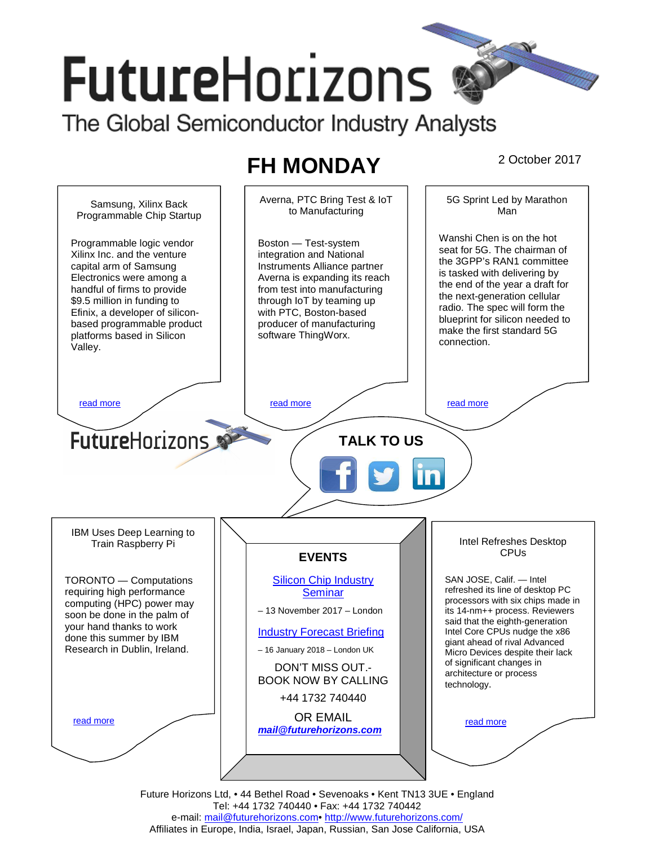# **FutureHorizons** The Global Semiconductor Industry Analysts

# **FH MONDAY** 2 October 2017



Future Horizons Ltd, • 44 Bethel Road • Sevenoaks • Kent TN13 3UE • England Tel: +44 1732 740440 • Fax: +44 1732 740442 e-mail: mail@futurehorizons.com• http://www.futurehorizons.com/ Affiliates in Europe, India, Israel, Japan, Russian, San Jose California, USA